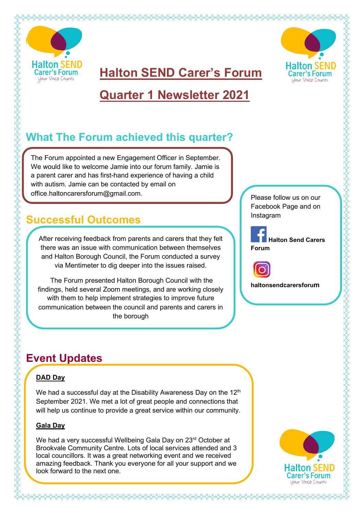



**Quarter 1 Newsletter 2021**

**Halton SEND Carer's Forum** 

# **What The Forum achieved this quarter?**

The Forum appointed a new Engagement Officer in September. We would like to welcome Jamie into our forum family. Jamie is a parent carer and has first-hand experience of having a child with autism. Jamie can be contacted by email on office.haltoncarersforum@gmail.com.

### **Successful Outcomes**

After receiving feedback from parents and carers that they felt there was an issue with communication between themselves and Halton Borough Council, the Forum conducted a survey via Mentimeter to dig deeper into the issues raised.

The Forum presented Halton Borough Council with the findings, held several Zoom meetings, and are working closely with them to help implement strategies to improve future communication between the council and parents and carers in the borough

Please follow us on our Facebook Page and on Instagram



**Halton Send Carers**



**haltonsendcarersforum**

# **Event Updates**

#### **DAD Day**

SARAKA KANANGA KANANGA KANANGA KANANGA KANANGA KANANGA KANANGA KANANGA KANANGA KANANGA KANANGA KANANGA KANANGA

We had a successful day at the Disability Awareness Day on the  $12<sup>th</sup>$ September 2021. We met a lot of great people and connections that will help us continue to provide a great service within our community.

#### **Gala Day**

We had a very successful Wellbeing Gala Day on 23rd October at Brookvale Community Centre. Lots of local services attended and 3 local councillors. It was a great networking event and we received amazing feedback. Thank you everyone for all your support and we look forward to the next one.

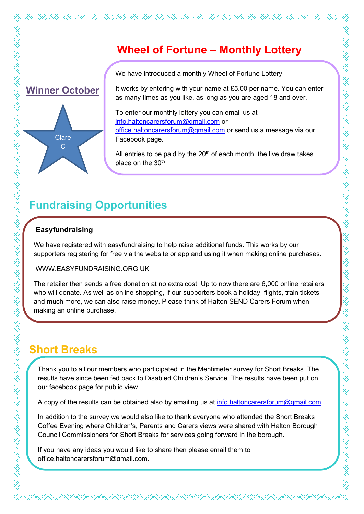### **Wheel of Fortune – Monthly Lottery**



We have introduced a monthly Wheel of Fortune Lottery.

It works by entering with your name at £5.00 per name. You can enter as many times as you like, as long as you are aged 18 and over.

To enter our monthly lottery you can email us at [info.haltoncarersforum@gmail.com](mailto:info.haltoncarersforum@gmail.com) or [office.haltoncarersforum@gmail.com](mailto:office.haltoncarersforum@gmail.com) or send us a message via our Facebook page.

All entries to be paid by the  $20<sup>th</sup>$  of each month, the live draw takes place on the  $30<sup>th</sup>$ 

### **Fundraising Opportunities**

#### **Easyfundraising**

We have registered with easyfundraising to help raise additional funds. This works by our supporters registering for free via the website or app and using it when making online purchases.

WWW.EASYFUNDRAISING.ORG.UK

The retailer then sends a free donation at no extra cost. Up to now there are 6,000 online retailers who will donate. As well as online shopping, if our supporters book a holiday, flights, train tickets and much more, we can also raise money. Please think of Halton SEND Carers Forum when making an online purchase.

### **Short Breaks**

Thank you to all our members who participated in the Mentimeter survey for Short Breaks. The results have since been fed back to Disabled Children's Service. The results have been put on our facebook page for public view.

A copy of the results can be obtained also by emailing us at [info.haltoncarersforum@gmail.com](mailto:info.haltoncarersforum@gmail.com)

In addition to the survey we would also like to thank everyone who attended the Short Breaks Coffee Evening where Children's, Parents and Carers views were shared with Halton Borough Council Commissioners for Short Breaks for services going forward in the borough.

If you have any ideas you would like to share then please email them to office.haltoncarersforum@gmail.com.